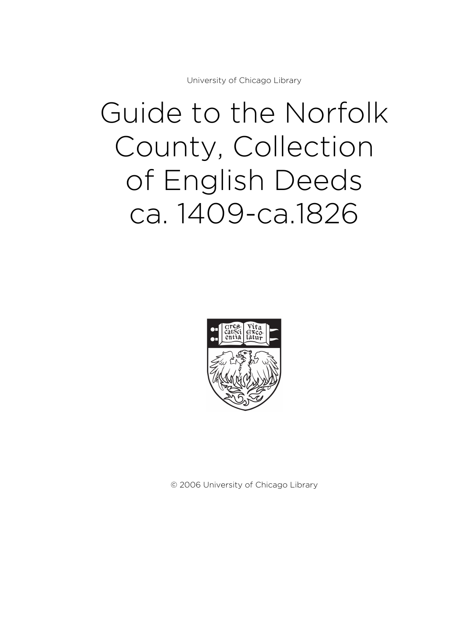University of Chicago Library

# Guide to the Norfolk County, Collection of English Deeds ca. 1409-ca.1826



© 2006 University of Chicago Library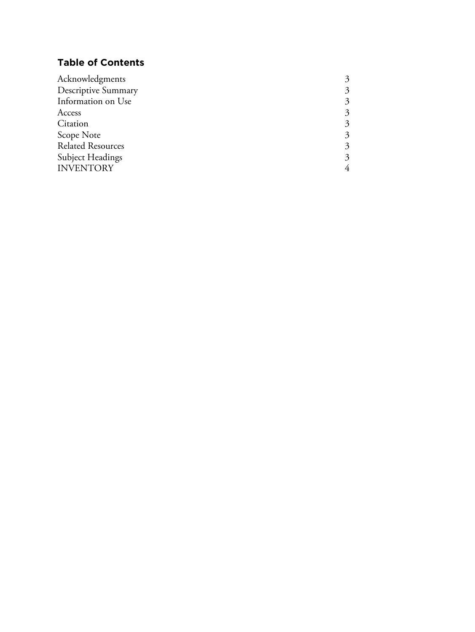# **Table of Contents**

| Acknowledgments            |                        |
|----------------------------|------------------------|
| <b>Descriptive Summary</b> | $\mathbf{\mathcal{Z}}$ |
| Information on Use         | 3                      |
| Access                     | $\mathcal{Z}$          |
| Citation                   | 3                      |
| Scope Note                 | 3                      |
| <b>Related Resources</b>   | 3                      |
| <b>Subject Headings</b>    | 3                      |
| <b>INVENTORY</b>           |                        |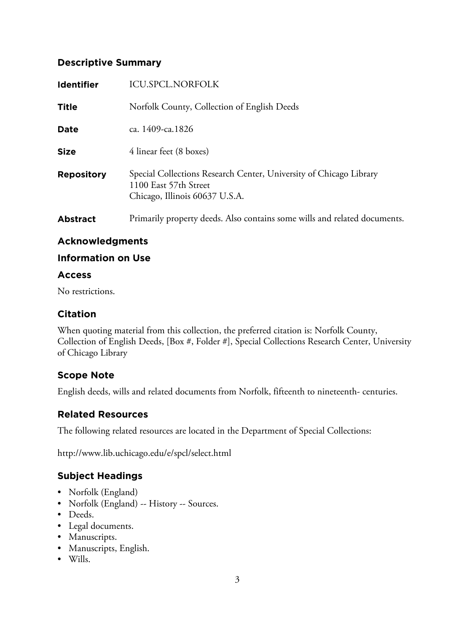# **Descriptive Summary**

| <b>Identifier</b> | ICU.SPCL.NORFOLK                                                                                                              |
|-------------------|-------------------------------------------------------------------------------------------------------------------------------|
| <b>Title</b>      | Norfolk County, Collection of English Deeds                                                                                   |
| <b>Date</b>       | ca. 1409-ca. 1826                                                                                                             |
| <b>Size</b>       | 4 linear feet (8 boxes)                                                                                                       |
| <b>Repository</b> | Special Collections Research Center, University of Chicago Library<br>1100 East 57th Street<br>Chicago, Illinois 60637 U.S.A. |
| <b>Abstract</b>   | Primarily property deeds. Also contains some wills and related documents.                                                     |

# **Acknowledgments**

#### **Information on Use**

#### **Access**

No restrictions.

# **Citation**

When quoting material from this collection, the preferred citation is: Norfolk County, Collection of English Deeds, [Box #, Folder #], Special Collections Research Center, University of Chicago Library

# **Scope Note**

English deeds, wills and related documents from Norfolk, fifteenth to nineteenth- centuries.

# **Related Resources**

The following related resources are located in the Department of Special Collections:

http://www.lib.uchicago.edu/e/spcl/select.html

# **Subject Headings**

- Norfolk (England)
- Norfolk (England) -- History -- Sources.
- Deeds.
- Legal documents.
- Manuscripts.
- Manuscripts, English.
- Wills.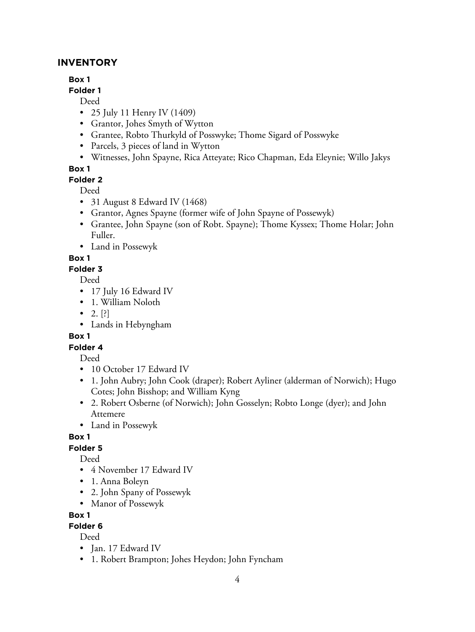# **INVENTORY**

# **Box 1**

**Folder 1**

Deed

- 25 July 11 Henry IV (1409)
- Grantor, Johes Smyth of Wytton
- Grantee, Robto Thurkyld of Posswyke; Thome Sigard of Posswyke
- Parcels, 3 pieces of land in Wytton
- Witnesses, John Spayne, Rica Atteyate; Rico Chapman, Eda Eleynie; Willo Jakys

# **Box 1**

# **Folder 2**

Deed

- 31 August 8 Edward IV (1468)
- Grantor, Agnes Spayne (former wife of John Spayne of Possewyk)
- Grantee, John Spayne (son of Robt. Spayne); Thome Kyssex; Thome Holar; John Fuller.
- Land in Possewyk

# **Box 1**

**Folder 3**

Deed

- 17 July 16 Edward IV
- 1. William Noloth
- 2.  $[?]$
- Lands in Hebyngham

# **Box 1**

# **Folder 4**

Deed

- 10 October 17 Edward IV
- 1. John Aubry; John Cook (draper); Robert Ayliner (alderman of Norwich); Hugo Cotes; John Bisshop; and William Kyng
- 2. Robert Osberne (of Norwich); John Gosselyn; Robto Longe (dyer); and John Attemere
- Land in Possewyk

# **Box 1**

**Folder 5**

Deed

- 4 November 17 Edward IV
- 1. Anna Boleyn
- 2. John Spany of Possewyk
- Manor of Possewyk

# **Box 1**

# **Folder 6**

- Jan. 17 Edward IV
- 1. Robert Brampton; Johes Heydon; John Fyncham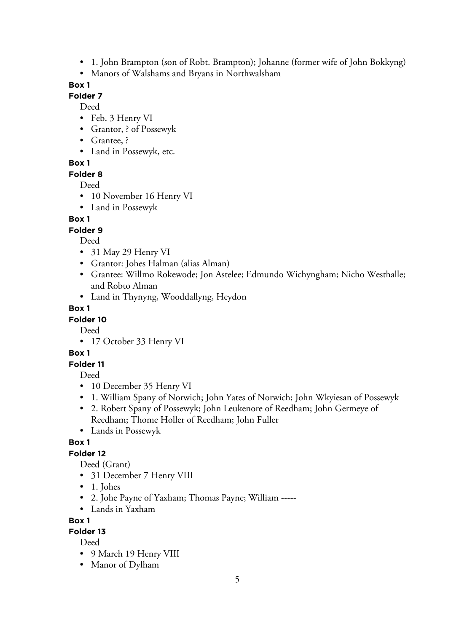- 1. John Brampton (son of Robt. Brampton); Johanne (former wife of John Bokkyng)
- Manors of Walshams and Bryans in Northwalsham

#### **Folder 7**

Deed

- Feb. 3 Henry VI
- Grantor, ? of Possewyk
- Grantee, ?
- Land in Possewyk, etc.

# **Box 1**

## **Folder 8**

Deed

- 10 November 16 Henry VI
- Land in Possewyk

# **Box 1**

## **Folder 9**

Deed

- 31 May 29 Henry VI
- Grantor: Johes Halman (alias Alman)
- Grantee: Willmo Rokewode; Jon Astelee; Edmundo Wichyngham; Nicho Westhalle; and Robto Alman
- Land in Thynyng, Wooddallyng, Heydon

# **Box 1**

# **Folder 10**

Deed

• 17 October 33 Henry VI

# **Box 1**

## **Folder 11**

Deed

- 10 December 35 Henry VI
- 1. William Spany of Norwich; John Yates of Norwich; John Wkyiesan of Possewyk
- 2. Robert Spany of Possewyk; John Leukenore of Reedham; John Germeye of Reedham; Thome Holler of Reedham; John Fuller
- Lands in Possewyk

# **Box 1**

# **Folder 12**

Deed (Grant)

- 31 December 7 Henry VIII
- 1. Johes
- 2. Johe Payne of Yaxham; Thomas Payne; William -----
- Lands in Yaxham

## **Box 1**

# **Folder 13**

- 9 March 19 Henry VIII
- Manor of Dylham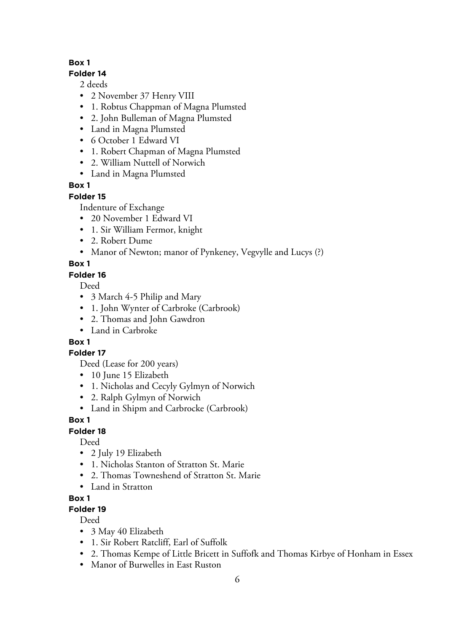#### **Folder 14**

2 deeds

- 2 November 37 Henry VIII
- 1. Robtus Chappman of Magna Plumsted
- 2. John Bulleman of Magna Plumsted
- Land in Magna Plumsted
- 6 October 1 Edward VI
- 1. Robert Chapman of Magna Plumsted
- 2. William Nuttell of Norwich
- Land in Magna Plumsted

# **Box 1**

## **Folder 15**

Indenture of Exchange

- 20 November 1 Edward VI
- 1. Sir William Fermor, knight
- 2. Robert Dume
- Manor of Newton; manor of Pynkeney, Vegvylle and Lucys (?)

# **Box 1**

# **Folder 16**

Deed

- 3 March 4-5 Philip and Mary
- 1. John Wynter of Carbroke (Carbrook)
- 2. Thomas and John Gawdron
- Land in Carbroke

# **Box 1**

## **Folder 17**

Deed (Lease for 200 years)

- 10 June 15 Elizabeth
- 1. Nicholas and Cecyly Gylmyn of Norwich
- 2. Ralph Gylmyn of Norwich
- Land in Shipm and Carbrocke (Carbrook)

## **Box 1**

# **Folder 18**

Deed

- 2 July 19 Elizabeth
- 1. Nicholas Stanton of Stratton St. Marie
- 2. Thomas Towneshend of Stratton St. Marie
- Land in Stratton

# **Box 1**

# **Folder 19**

- 3 May 40 Elizabeth
- 1. Sir Robert Ratcliff, Earl of Suffolk
- 2. Thomas Kempe of Little Bricett in Suffofk and Thomas Kirbye of Honham in Essex
- Manor of Burwelles in East Ruston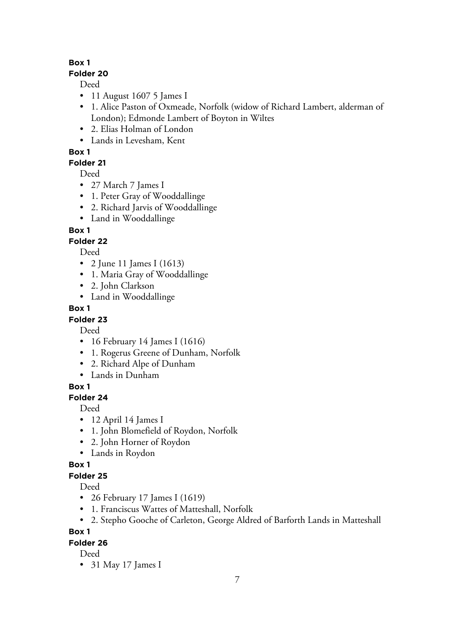#### **Folder 20**

Deed

- 11 August 1607 5 James I
- 1. Alice Paston of Oxmeade, Norfolk (widow of Richard Lambert, alderman of London); Edmonde Lambert of Boyton in Wiltes
- 2. Elias Holman of London
- Lands in Levesham, Kent

# **Box 1**

# **Folder 21**

Deed

- 27 March 7 James I
- 1. Peter Gray of Wooddallinge
- 2. Richard Jarvis of Wooddallinge
- Land in Wooddallinge

# **Box 1**

# **Folder 22**

Deed

- 2 June 11 James I (1613)
- 1. Maria Gray of Wooddallinge
- 2. John Clarkson
- Land in Wooddallinge

## **Box 1**

# **Folder 23**

Deed

- 16 February 14 James I (1616)
- 1. Rogerus Greene of Dunham, Norfolk
- 2. Richard Alpe of Dunham
- Lands in Dunham

# **Box 1**

# **Folder 24**

Deed

- 12 April 14 James I
- 1. John Blomefield of Roydon, Norfolk
- 2. John Horner of Roydon
- Lands in Roydon

## **Box 1**

## **Folder 25**

Deed

- 26 February 17 James I (1619)
- 1. Franciscus Wattes of Matteshall, Norfolk
- 2. Stepho Gooche of Carleton, George Aldred of Barforth Lands in Matteshall

# **Box 1**

## **Folder 26**

Deed

• 31 May 17 James I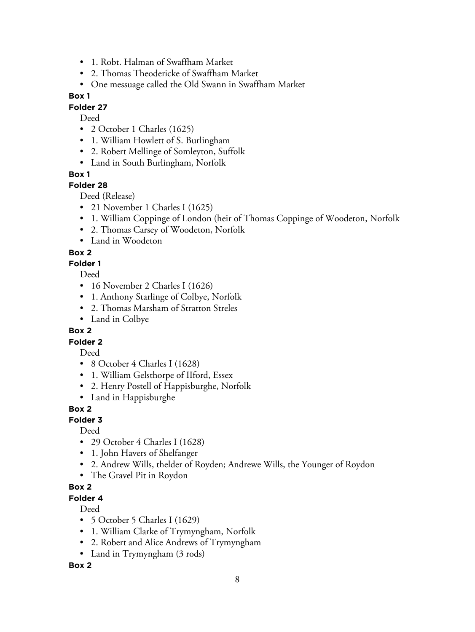- 1. Robt. Halman of Swaffham Market
- 2. Thomas Theodericke of Swaffham Market
- One messuage called the Old Swann in Swaffham Market

#### **Folder 27**

Deed

- 2 October 1 Charles (1625)
- 1. William Howlett of S. Burlingham
- 2. Robert Mellinge of Somleyton, Suffolk
- Land in South Burlingham, Norfolk

#### **Box 1**

#### **Folder 28**

Deed (Release)

- 21 November 1 Charles I (1625)
- 1. William Coppinge of London (heir of Thomas Coppinge of Woodeton, Norfolk
- 2. Thomas Carsey of Woodeton, Norfolk
- Land in Woodeton

#### **Box 2**

#### **Folder 1**

Deed

- 16 November 2 Charles I (1626)
- 1. Anthony Starlinge of Colbye, Norfolk
- 2. Thomas Marsham of Stratton Streles
- Land in Colbye

#### **Box 2**

## **Folder 2**

Deed

- 8 October 4 Charles I (1628)
- 1. William Gelsthorpe of IIford, Essex
- 2. Henry Postell of Happisburghe, Norfolk
- Land in Happisburghe

#### **Box 2**

#### **Folder 3**

Deed

- 29 October 4 Charles I (1628)
- 1. John Havers of Shelfanger
- 2. Andrew Wills, thelder of Royden; Andrewe Wills, the Younger of Roydon
- The Gravel Pit in Roydon

#### **Box 2**

**Folder 4**

Deed

- 5 October 5 Charles I (1629)
- 1. William Clarke of Trymyngham, Norfolk
- 2. Robert and Alice Andrews of Trymyngham
- Land in Trymyngham (3 rods)

#### **Box 2**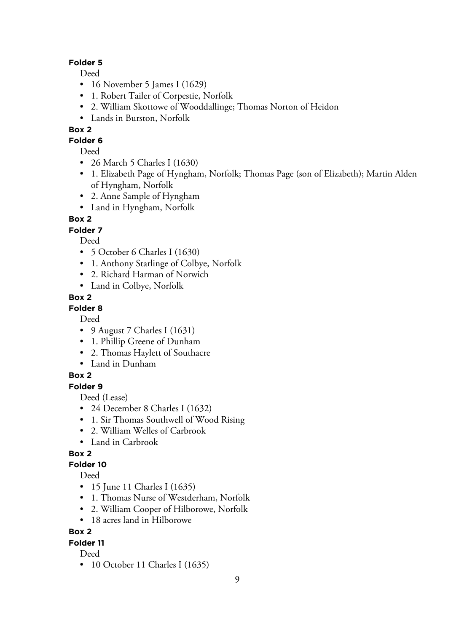#### **Folder 5**

Deed

- 16 November 5 James I (1629)
- 1. Robert Tailer of Corpestie, Norfolk
- 2. William Skottowe of Wooddallinge; Thomas Norton of Heidon
- Lands in Burston, Norfolk

# **Box 2**

**Folder 6**

Deed

- 26 March 5 Charles I (1630)
- 1. Elizabeth Page of Hyngham, Norfolk; Thomas Page (son of Elizabeth); Martin Alden of Hyngham, Norfolk
- 2. Anne Sample of Hyngham
- Land in Hyngham, Norfolk

# **Box 2**

# **Folder 7**

Deed

- 5 October 6 Charles I (1630)
- 1. Anthony Starlinge of Colbye, Norfolk
- 2. Richard Harman of Norwich
- Land in Colbye, Norfolk

# **Box 2**

## **Folder 8**

Deed

- 9 August 7 Charles I (1631)
- 1. Phillip Greene of Dunham
- 2. Thomas Haylett of Southacre
- Land in Dunham

# **Box 2**

**Folder 9**

Deed (Lease)

- 24 December 8 Charles I (1632)
- 1. Sir Thomas Southwell of Wood Rising
- 2. William Welles of Carbrook
- Land in Carbrook

# **Box 2**

## **Folder 10**

Deed

- 15 June 11 Charles I (1635)
- 1. Thomas Nurse of Westderham, Norfolk
- 2. William Cooper of Hilborowe, Norfolk
- 18 acres land in Hilborowe

# **Box 2**

## **Folder 11**

Deed

• 10 October 11 Charles I (1635)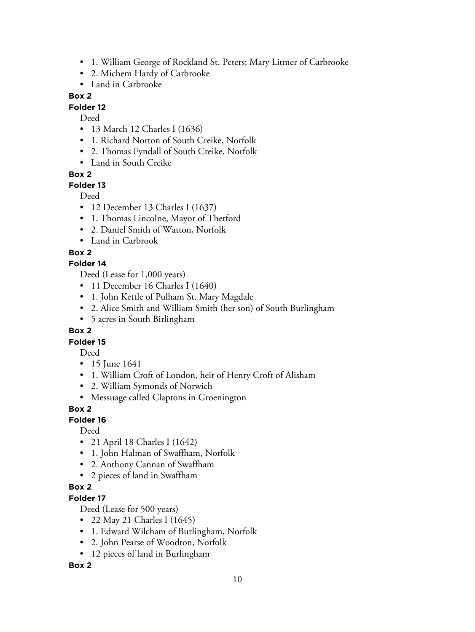- 1. William George of Rockland St. Peters; Mary Litmer of Carbrooke
- 2. Michem Hardy of Carbrooke
- Land in Carbrooke

#### **Folder 12**

Deed

- 13 March 12 Charles I (1636)
- 1. Richard Norton of South Creike, Norfolk
- 2. Thomas Fyndall of South Creike, Norfolk
- Land in South Creike

## **Box 2**

## **Folder 13**

Deed

- 12 December 13 Charles I (1637)
- 1. Thomas Lincolne, Mayor of Thetford
- 2. Daniel Smith of Watton, Norfolk
- Land in Carbrook

## **Box 2**

## **Folder 14**

Deed (Lease for 1,000 years)

- 11 December 16 Charles I (1640)
- 1. John Kettle of Pulham St. Mary Magdale
- 2. Alice Smith and William Smith (her son) of South Burlingham
- 5 acres in South Birlingham

## **Box 2**

## **Folder 15**

Deed

- 15 June 1641
- 1. William Croft of London, heir of Henry Croft of Alisham
- 2. William Symonds of Norwich
- Messuage called Claptons in Groenington

## **Box 2**

## **Folder 16**

Deed

- 21 April 18 Charles I (1642)
- 1. John Halman of Swaffham, Norfolk
- 2. Anthony Cannan of Swaffham
- 2 pieces of land in Swaffham

## **Box 2**

## **Folder 17**

Deed (Lease for 500 years)

- 22 May 21 Charles I (1645)
- 1. Edward Wilcham of Burlingham, Norfolk
- 2. John Pearse of Woodton, Norfolk
- 12 pieces of land in Burlingham

## **Box 2**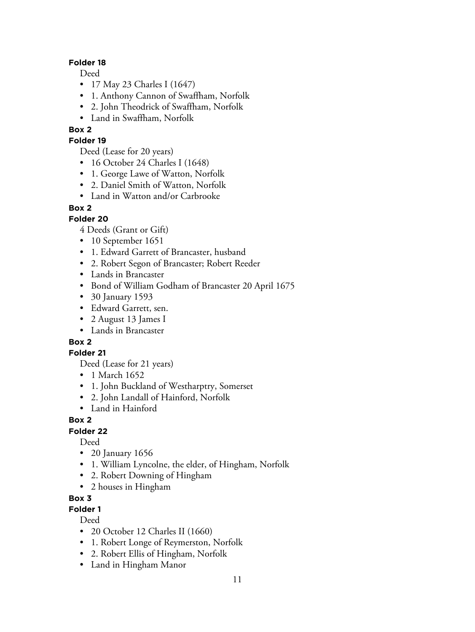#### **Folder 18**

Deed

- 17 May 23 Charles I (1647)
- 1. Anthony Cannon of Swaffham, Norfolk
- 2. John Theodrick of Swaffham, Norfolk
- Land in Swaffham, Norfolk

# **Box 2**

# **Folder 19**

Deed (Lease for 20 years)

- 16 October 24 Charles I (1648)
- 1. George Lawe of Watton, Norfolk
- 2. Daniel Smith of Watton, Norfolk
- Land in Watton and/or Carbrooke

# **Box 2**

# **Folder 20**

4 Deeds (Grant or Gift)

- 10 September 1651
- 1. Edward Garrett of Brancaster, husband
- 2. Robert Segon of Brancaster; Robert Reeder
- Lands in Brancaster
- Bond of William Godham of Brancaster 20 April 1675
- 30 January 1593
- Edward Garrett, sen.
- 2 August 13 James I
- Lands in Brancaster

# **Box 2**

## **Folder 21**

Deed (Lease for 21 years)

- 1 March 1652
- 1. John Buckland of Westharptry, Somerset
- 2. John Landall of Hainford, Norfolk
- Land in Hainford

# **Box 2**

## **Folder 22**

Deed

- 20 January 1656
- 1. William Lyncolne, the elder, of Hingham, Norfolk
- 2. Robert Downing of Hingham
- 2 houses in Hingham

# **Box 3**

# **Folder 1**

- 20 October 12 Charles II (1660)
- 1. Robert Longe of Reymerston, Norfolk
- 2. Robert Ellis of Hingham, Norfolk
- Land in Hingham Manor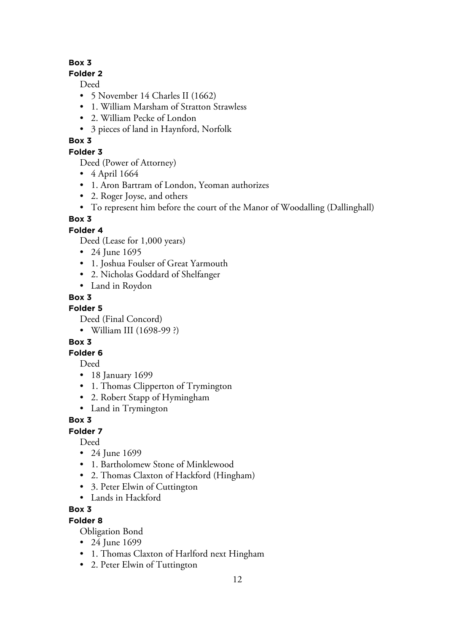## **Folder 2**

Deed

- 5 November 14 Charles II (1662)
- 1. William Marsham of Stratton Strawless
- 2. William Pecke of London
- 3 pieces of land in Haynford, Norfolk

# **Box 3**

# **Folder 3**

Deed (Power of Attorney)

- 4 April 1664
- 1. Aron Bartram of London, Yeoman authorizes
- 2. Roger Joyse, and others
- To represent him before the court of the Manor of Woodalling (Dallinghall)

# **Box 3**

# **Folder 4**

Deed (Lease for 1,000 years)

- 24 June 1695
- 1. Joshua Foulser of Great Yarmouth
- 2. Nicholas Goddard of Shelfanger
- Land in Roydon

# **Box 3**

# **Folder 5**

Deed (Final Concord)

• William III (1698-99 ?)

# **Box 3**

# **Folder 6**

Deed

- 18 January 1699
- 1. Thomas Clipperton of Trymington
- 2. Robert Stapp of Hymingham
- Land in Trymington

# **Box 3**

# **Folder 7**

Deed

- 24 June 1699
- 1. Bartholomew Stone of Minklewood
- 2. Thomas Claxton of Hackford (Hingham)
- 3. Peter Elwin of Cuttington
- Lands in Hackford

# **Box 3**

# **Folder 8**

Obligation Bond

- 24 June 1699
- 1. Thomas Claxton of Harlford next Hingham
- 2. Peter Elwin of Tuttington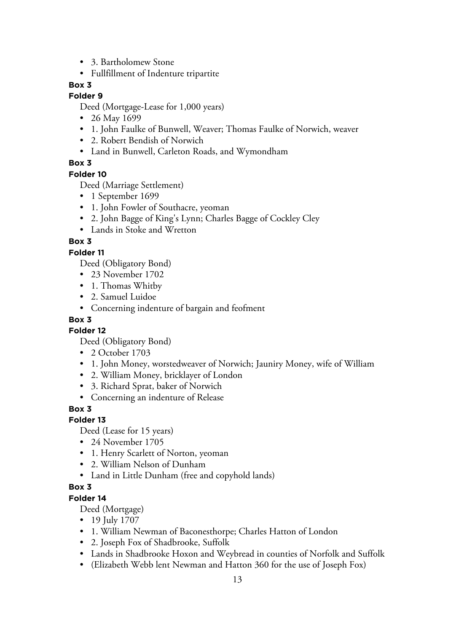- 3. Bartholomew Stone
- Fullfillment of Indenture tripartite

#### **Folder 9**

Deed (Mortgage-Lease for 1,000 years)

- 26 May 1699
- 1. John Faulke of Bunwell, Weaver; Thomas Faulke of Norwich, weaver
- 2. Robert Bendish of Norwich
- Land in Bunwell, Carleton Roads, and Wymondham

#### **Box 3**

#### **Folder 10**

Deed (Marriage Settlement)

- 1 September 1699
- 1. John Fowler of Southacre, yeoman
- 2. John Bagge of King's Lynn; Charles Bagge of Cockley Cley
- Lands in Stoke and Wretton

# **Box 3**

#### **Folder 11**

Deed (Obligatory Bond)

- 23 November 1702
- 1. Thomas Whitby
- 2. Samuel Luidoe
- Concerning indenture of bargain and feofment

## **Box 3**

#### **Folder 12**

Deed (Obligatory Bond)

- 2 October 1703
- 1. John Money, worstedweaver of Norwich; Jauniry Money, wife of William
- 2. William Money, bricklayer of London
- 3. Richard Sprat, baker of Norwich
- Concerning an indenture of Release

#### **Box 3**

## **Folder 13**

Deed (Lease for 15 years)

- 24 November 1705
- 1. Henry Scarlett of Norton, yeoman
- 2. William Nelson of Dunham
- Land in Little Dunham (free and copyhold lands)

#### **Box 3**

#### **Folder 14**

Deed (Mortgage)

- 19 July 1707
- 1. William Newman of Baconesthorpe; Charles Hatton of London
- 2. Joseph Fox of Shadbrooke, Suffolk
- Lands in Shadbrooke Hoxon and Weybread in counties of Norfolk and Suffolk
- (Elizabeth Webb lent Newman and Hatton 360 for the use of Joseph Fox)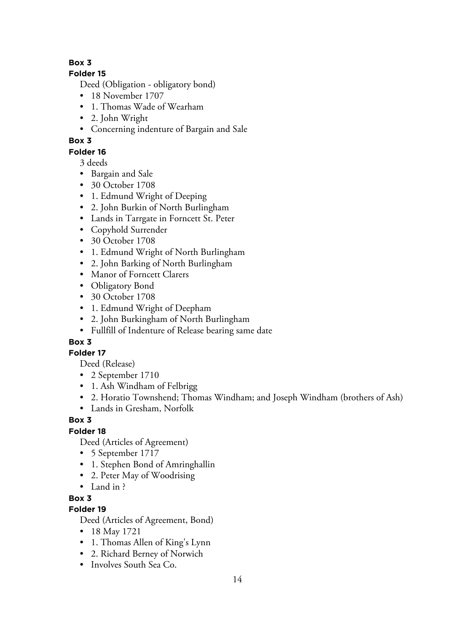## **Folder 15**

Deed (Obligation - obligatory bond)

- 18 November 1707
- 1. Thomas Wade of Wearham
- 2. John Wright
- Concerning indenture of Bargain and Sale

# **Box 3**

# **Folder 16**

3 deeds

- Bargain and Sale
- 30 October 1708
- 1. Edmund Wright of Deeping
- 2. John Burkin of North Burlingham
- Lands in Tarrgate in Forncett St. Peter
- Copyhold Surrender
- 30 October 1708
- 1. Edmund Wright of North Burlingham
- 2. John Barking of North Burlingham
- Manor of Forncett Clarers
- Obligatory Bond
- 30 October 1708
- 1. Edmund Wright of Deepham
- 2. John Burkingham of North Burlingham
- Fullfill of Indenture of Release bearing same date

# **Box 3**

# **Folder 17**

Deed (Release)

- 2 September 1710
- 1. Ash Windham of Felbrigg
- 2. Horatio Townshend; Thomas Windham; and Joseph Windham (brothers of Ash)
- Lands in Gresham, Norfolk

# **Box 3**

# **Folder 18**

Deed (Articles of Agreement)

- 5 September 1717
- 1. Stephen Bond of Amringhallin
- 2. Peter May of Woodrising
- Land in ?

**Box 3**

# **Folder 19**

Deed (Articles of Agreement, Bond)

- 18 May 1721
- 1. Thomas Allen of King's Lynn
- 2. Richard Berney of Norwich
- Involves South Sea Co.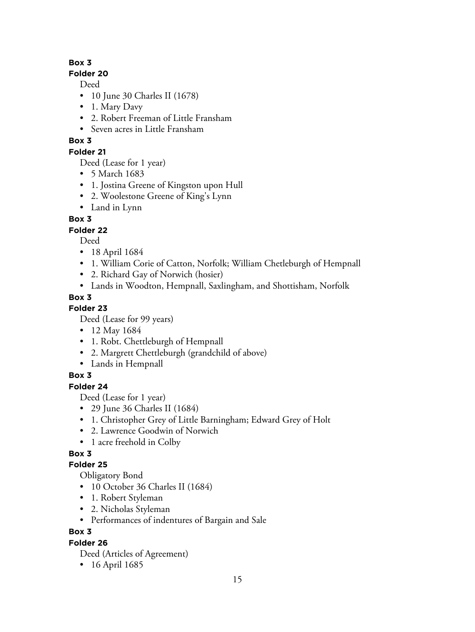## **Folder 20**

Deed

- 10 June 30 Charles II (1678)
- 1. Mary Davy
- 2. Robert Freeman of Little Fransham
- Seven acres in Little Fransham

# **Box 3**

**Folder 21**

Deed (Lease for 1 year)

- 5 March 1683
- 1. Jostina Greene of Kingston upon Hull
- 2. Woolestone Greene of King's Lynn
- Land in Lynn

# **Box 3**

# **Folder 22**

Deed

- 18 April 1684
- 1. William Corie of Catton, Norfolk; William Chetleburgh of Hempnall
- 2. Richard Gay of Norwich (hosier)
- Lands in Woodton, Hempnall, Saxlingham, and Shottisham, Norfolk

# **Box 3**

**Folder 23**

Deed (Lease for 99 years)

- 12 May 1684
- 1. Robt. Chettleburgh of Hempnall
- 2. Margrett Chettleburgh (grandchild of above)
- Lands in Hempnall

# **Box 3**

# **Folder 24**

Deed (Lease for 1 year)

- 29 June 36 Charles II (1684)
- 1. Christopher Grey of Little Barningham; Edward Grey of Holt
- 2. Lawrence Goodwin of Norwich
- 1 acre freehold in Colby

# **Box 3**

# **Folder 25**

Obligatory Bond

- 10 October 36 Charles II (1684)
- 1. Robert Styleman
- 2. Nicholas Styleman
- Performances of indentures of Bargain and Sale

# **Box 3**

# **Folder 26**

Deed (Articles of Agreement)

• 16 April 1685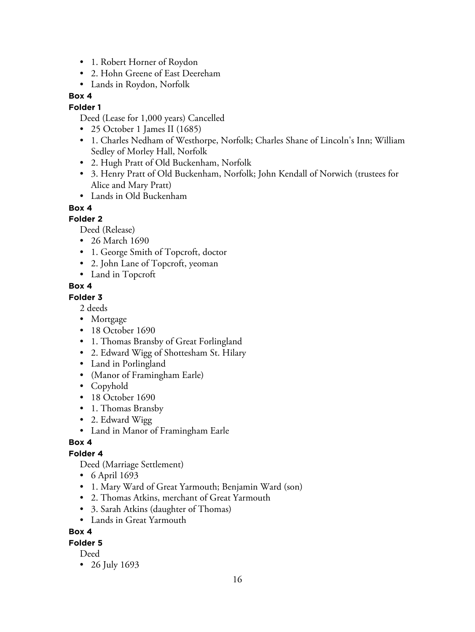- 1. Robert Horner of Roydon
- 2. Hohn Greene of East Deereham
- Lands in Roydon, Norfolk

#### **Folder 1**

Deed (Lease for 1,000 years) Cancelled

- 25 October 1 James II (1685)
- 1. Charles Nedham of Westhorpe, Norfolk; Charles Shane of Lincoln's Inn; William Sedley of Morley Hall, Norfolk
- 2. Hugh Pratt of Old Buckenham, Norfolk
- 3. Henry Pratt of Old Buckenham, Norfolk; John Kendall of Norwich (trustees for Alice and Mary Pratt)
- Lands in Old Buckenham

## **Box 4**

#### **Folder 2**

Deed (Release)

- 26 March 1690
- 1. George Smith of Topcroft, doctor
- 2. John Lane of Topcroft, yeoman
- Land in Topcroft

#### **Box 4**

#### **Folder 3**

2 deeds

- Mortgage
- 18 October 1690
- 1. Thomas Bransby of Great Forlingland
- 2. Edward Wigg of Shottesham St. Hilary
- Land in Porlingland
- (Manor of Framingham Earle)
- Copyhold
- 18 October 1690
- 1. Thomas Bransby
- 2. Edward Wigg
- Land in Manor of Framingham Earle

#### **Box 4**

#### **Folder 4**

Deed (Marriage Settlement)

- 6 April 1693
- 1. Mary Ward of Great Yarmouth; Benjamin Ward (son)
- 2. Thomas Atkins, merchant of Great Yarmouth
- 3. Sarah Atkins (daughter of Thomas)
- Lands in Great Yarmouth

## **Box 4**

# **Folder 5**

Deed

• 26 July 1693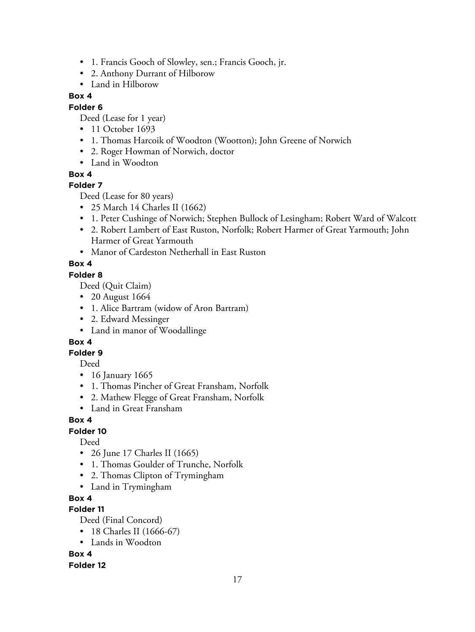- 1. Francis Gooch of Slowley, sen.; Francis Gooch, jr.
- 2. Anthony Durrant of Hilborow
- Land in Hilborow

## **Folder 6**

Deed (Lease for 1 year)

- 11 October 1693
- 1. Thomas Harcoik of Woodton (Wootton); John Greene of Norwich
- 2. Roger Howman of Norwich, doctor
- Land in Woodton

## **Box 4**

## **Folder 7**

Deed (Lease for 80 years)

- 25 March 14 Charles II (1662)
- 1. Peter Cushinge of Norwich; Stephen Bullock of Lesingham; Robert Ward of Walcott
- 2. Robert Lambert of East Ruston, Norfolk; Robert Harmer of Great Yarmouth; John Harmer of Great Yarmouth
- Manor of Cardeston Netherhall in East Ruston

# **Box 4**

#### **Folder 8**

Deed (Quit Claim)

- 20 August 1664
- 1. Alice Bartram (widow of Aron Bartram)
- 2. Edward Messinger
- Land in manor of Woodallinge

# **Box 4**

# **Folder 9**

Deed

- 16 January 1665
- 1. Thomas Pincher of Great Fransham, Norfolk
- 2. Mathew Flegge of Great Fransham, Norfolk
- Land in Great Fransham

# **Box 4**

# **Folder 10**

Deed

- 26 June 17 Charles II (1665)
- 1. Thomas Goulder of Trunche, Norfolk
- 2. Thomas Clipton of Trymingham
- Land in Trymingham

# **Box 4**

# **Folder 11**

Deed (Final Concord)

- 18 Charles II (1666-67)
- Lands in Woodton

# **Box 4**

**Folder 12**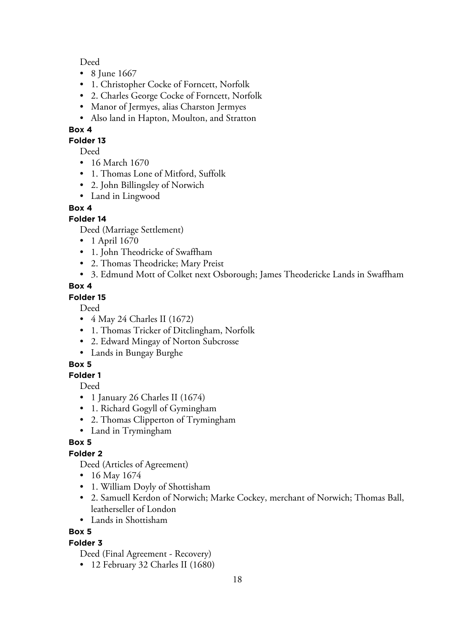#### Deed

- 8 June 1667
- 1. Christopher Cocke of Forncett, Norfolk
- 2. Charles George Cocke of Forncett, Norfolk
- Manor of Jermyes, alias Charston Jermyes
- Also land in Hapton, Moulton, and Stratton

## **Box 4**

#### **Folder 13**

Deed

- 16 March 1670
- 1. Thomas Lone of Mitford, Suffolk
- 2. John Billingsley of Norwich
- Land in Lingwood

#### **Box 4**

#### **Folder 14**

Deed (Marriage Settlement)

- 1 April 1670
- 1. John Theodricke of Swaffham
- 2. Thomas Theodricke; Mary Preist
- 3. Edmund Mott of Colket next Osborough; James Theodericke Lands in Swaffham

#### **Box 4**

#### **Folder 15**

Deed

- 4 May 24 Charles II (1672)
- 1. Thomas Tricker of Ditclingham, Norfolk
- 2. Edward Mingay of Norton Subcrosse
- Lands in Bungay Burghe

## **Box 5**

## **Folder 1**

Deed

- 1 January 26 Charles II (1674)
- 1. Richard Gogyll of Gymingham
- 2. Thomas Clipperton of Trymingham
- Land in Trymingham

## **Box 5**

## **Folder 2**

Deed (Articles of Agreement)

- 16 May 1674
- 1. William Doyly of Shottisham
- 2. Samuell Kerdon of Norwich; Marke Cockey, merchant of Norwich; Thomas Ball, leatherseller of London
- Lands in Shottisham

# **Box 5**

## **Folder 3**

Deed (Final Agreement - Recovery)

• 12 February 32 Charles II (1680)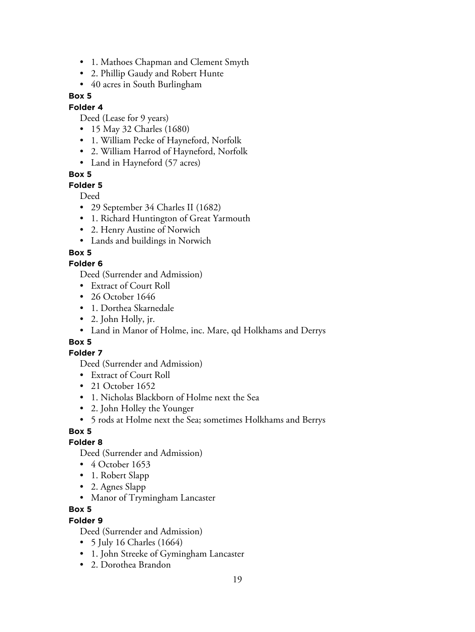- 1. Mathoes Chapman and Clement Smyth
- 2. Phillip Gaudy and Robert Hunte
- 40 acres in South Burlingham

#### **Folder 4**

Deed (Lease for 9 years)

- 15 May 32 Charles (1680)
- 1. William Pecke of Hayneford, Norfolk
- 2. William Harrod of Hayneford, Norfolk
- Land in Hayneford (57 acres)

#### **Box 5**

#### **Folder 5**

Deed

- 29 September 34 Charles II (1682)
- 1. Richard Huntington of Great Yarmouth
- 2. Henry Austine of Norwich
- Lands and buildings in Norwich

#### **Box 5**

#### **Folder 6**

Deed (Surrender and Admission)

- Extract of Court Roll
- 26 October 1646
- 1. Dorthea Skarnedale
- 2. John Holly, jr.
- Land in Manor of Holme, inc. Mare, qd Holkhams and Derrys

## **Box 5**

#### **Folder 7**

Deed (Surrender and Admission)

- Extract of Court Roll
- 21 October 1652
- 1. Nicholas Blackborn of Holme next the Sea
- 2. John Holley the Younger
- 5 rods at Holme next the Sea; sometimes Holkhams and Berrys

## **Box 5**

#### **Folder 8**

Deed (Surrender and Admission)

- 4 October 1653
- 1. Robert Slapp
- 2. Agnes Slapp
- Manor of Trymingham Lancaster

#### **Box 5**

#### **Folder 9**

Deed (Surrender and Admission)

- 5 July 16 Charles (1664)
- 1. John Streeke of Gymingham Lancaster
- 2. Dorothea Brandon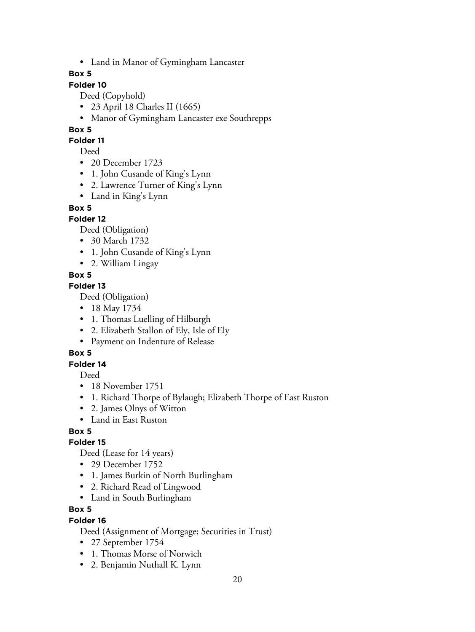• Land in Manor of Gymingham Lancaster

#### **Box 5**

# **Folder 10**

Deed (Copyhold)

- 23 April 18 Charles II (1665)
- Manor of Gymingham Lancaster exe Southrepps

## **Box 5**

#### **Folder 11**

Deed

- 20 December 1723
- 1. John Cusande of King's Lynn
- 2. Lawrence Turner of King's Lynn
- Land in King's Lynn

## **Box 5**

# **Folder 12**

Deed (Obligation)

- 30 March 1732
- 1. John Cusande of King's Lynn
- 2. William Lingay

# **Box 5**

## **Folder 13**

Deed (Obligation)

- 18 May 1734
- 1. Thomas Luelling of Hilburgh
- 2. Elizabeth Stallon of Ely, Isle of Ely
- Payment on Indenture of Release

# **Box 5**

## **Folder 14**

Deed

- 18 November 1751
- 1. Richard Thorpe of Bylaugh; Elizabeth Thorpe of East Ruston
- 2. James Olnys of Witton
- Land in East Ruston

# **Box 5**

## **Folder 15**

Deed (Lease for 14 years)

- 29 December 1752
- 1. James Burkin of North Burlingham
- 2. Richard Read of Lingwood
- Land in South Burlingham

## **Box 5**

## **Folder 16**

Deed (Assignment of Mortgage; Securities in Trust)

- 27 September 1754
- 1. Thomas Morse of Norwich
- 2. Benjamin Nuthall K. Lynn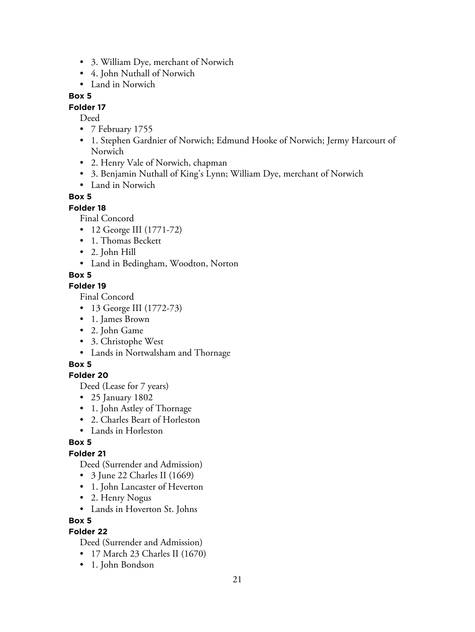- 3. William Dye, merchant of Norwich
- 4. John Nuthall of Norwich
- Land in Norwich

#### **Folder 17**

Deed

- 7 February 1755
- 1. Stephen Gardnier of Norwich; Edmund Hooke of Norwich; Jermy Harcourt of Norwich
- 2. Henry Vale of Norwich, chapman
- 3. Benjamin Nuthall of King's Lynn; William Dye, merchant of Norwich
- Land in Norwich

#### **Box 5**

#### **Folder 18**

Final Concord

- 12 George III (1771-72)
- 1. Thomas Beckett
- 2. John Hill
- Land in Bedingham, Woodton, Norton

#### **Box 5**

#### **Folder 19**

Final Concord

- 13 George III (1772-73)
- 1. James Brown
- 2. John Game
- 3. Christophe West
- Lands in Nortwalsham and Thornage

#### **Box 5**

#### **Folder 20**

Deed (Lease for 7 years)

- 25 January 1802
- 1. John Astley of Thornage
- 2. Charles Beart of Horleston
- Lands in Horleston

#### **Box 5**

## **Folder 21**

Deed (Surrender and Admission)

- 3 June 22 Charles II (1669)
- 1. John Lancaster of Heverton
- 2. Henry Nogus
- Lands in Hoverton St. Johns

#### **Box 5**

# **Folder 22**

Deed (Surrender and Admission)

- 17 March 23 Charles II (1670)
- 1. John Bondson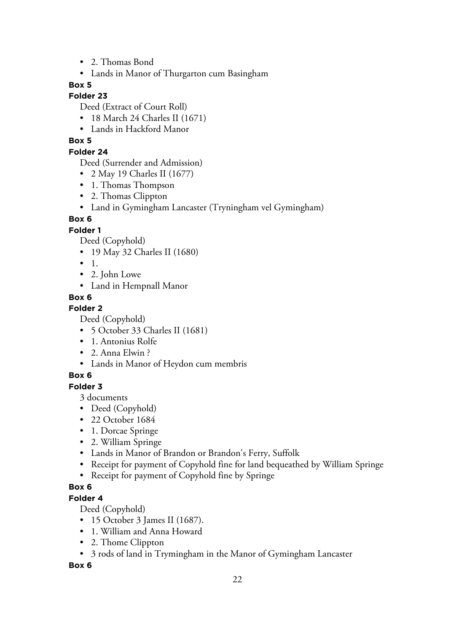- 2. Thomas Bond
- Lands in Manor of Thurgarton cum Basingham

#### **Folder 23**

Deed (Extract of Court Roll)

- 18 March 24 Charles II (1671)
- Lands in Hackford Manor

## **Box 5**

#### **Folder 24**

Deed (Surrender and Admission)

- 2 May 19 Charles II (1677)
- 1. Thomas Thompson
- 2. Thomas Clippton
- Land in Gymingham Lancaster (Tryningham vel Gymingham)

#### **Box 6**

#### **Folder 1**

Deed (Copyhold)

- 19 May 32 Charles II (1680)
- 1.
- 2. John Lowe
- Land in Hempnall Manor

## **Box 6**

#### **Folder 2**

Deed (Copyhold)

- 5 October 33 Charles II (1681)
- 1. Antonius Rolfe
- 2. Anna Elwin ?
- Lands in Manor of Heydon cum membris

## **Box 6**

**Folder 3**

3 documents

- Deed (Copyhold)
- 22 October 1684
- 1. Dorcae Springe
- 2. William Springe
- Lands in Manor of Brandon or Brandon's Ferry, Suffolk
- Receipt for payment of Copyhold fine for land bequeathed by William Springe
- Receipt for payment of Copyhold fine by Springe

# **Box 6**

**Folder 4**

Deed (Copyhold)

- 15 October 3 James II (1687).
- 1. William and Anna Howard
- 2. Thome Clippton
- 3 rods of land in Trymingham in the Manor of Gymingham Lancaster

**Box 6**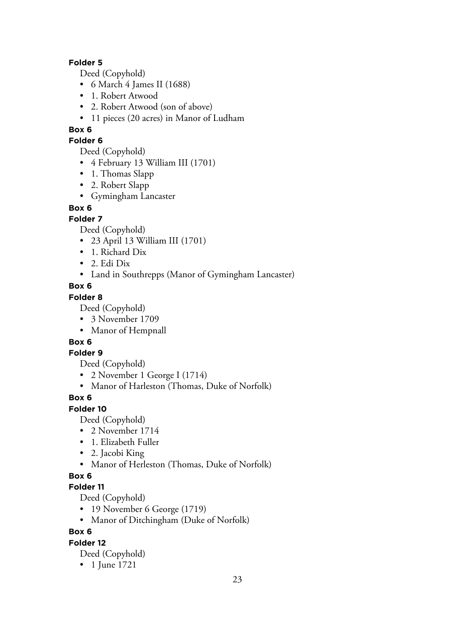#### **Folder 5**

Deed (Copyhold)

- 6 March 4 James II (1688)
- 1. Robert Atwood
- 2. Robert Atwood (son of above)
- 11 pieces (20 acres) in Manor of Ludham

#### **Box 6**

#### **Folder 6**

Deed (Copyhold)

- 4 February 13 William III (1701)
- 1. Thomas Slapp
- 2. Robert Slapp
- Gymingham Lancaster

#### **Box 6**

#### **Folder 7**

Deed (Copyhold)

- 23 April 13 William III (1701)
- 1. Richard Dix
- 2. Edi Dix
- Land in Southrepps (Manor of Gymingham Lancaster)

#### **Box 6**

#### **Folder 8**

Deed (Copyhold)

- 3 November 1709
- Manor of Hempnall

## **Box 6**

#### **Folder 9**

Deed (Copyhold)

- 2 November 1 George I (1714)
- Manor of Harleston (Thomas, Duke of Norfolk)

## **Box 6**

#### **Folder 10**

Deed (Copyhold)

- 2 November 1714
- 1. Elizabeth Fuller
- 2. Jacobi King
- Manor of Herleston (Thomas, Duke of Norfolk)

## **Box 6**

#### **Folder 11**

Deed (Copyhold)

- 19 November 6 George (1719)
- Manor of Ditchingham (Duke of Norfolk)

## **Box 6**

## **Folder 12**

Deed (Copyhold)

• 1 June 1721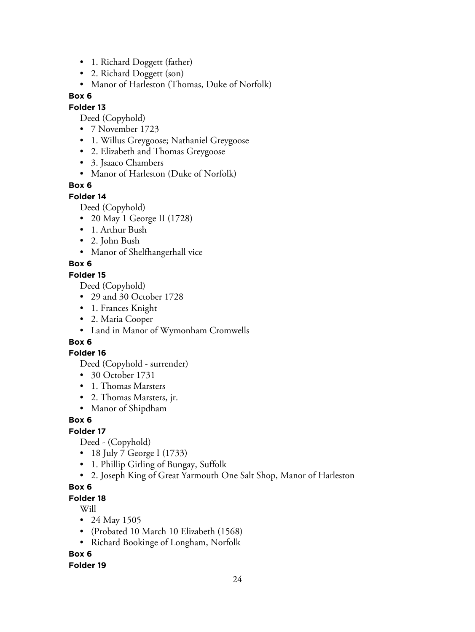- 1. Richard Doggett (father)
- 2. Richard Doggett (son)
- Manor of Harleston (Thomas, Duke of Norfolk)

#### **Folder 13**

Deed (Copyhold)

- 7 November 1723
- 1. Willus Greygoose; Nathaniel Greygoose
- 2. Elizabeth and Thomas Greygoose
- 3. Jsaaco Chambers
- Manor of Harleston (Duke of Norfolk)

#### **Box 6**

#### **Folder 14**

Deed (Copyhold)

- 20 May 1 George II (1728)
- 1. Arthur Bush
- 2. John Bush
- Manor of Shelfhangerhall vice

#### **Box 6**

#### **Folder 15**

Deed (Copyhold)

- 29 and 30 October 1728
- 1. Frances Knight
- 2. Maria Cooper
- Land in Manor of Wymonham Cromwells

## **Box 6**

#### **Folder 16**

Deed (Copyhold - surrender)

- 30 October 1731
- 1. Thomas Marsters
- 2. Thomas Marsters, jr.
- Manor of Shipdham

#### **Box 6**

#### **Folder 17**

Deed - (Copyhold)

- 18 July 7 George I (1733)
- 1. Phillip Girling of Bungay, Suffolk
- 2. Joseph King of Great Yarmouth One Salt Shop, Manor of Harleston

#### **Box 6**

#### **Folder 18**

Will

- 24 May 1505
- (Probated 10 March 10 Elizabeth (1568)
- Richard Bookinge of Longham, Norfolk

## **Box 6**

#### **Folder 19**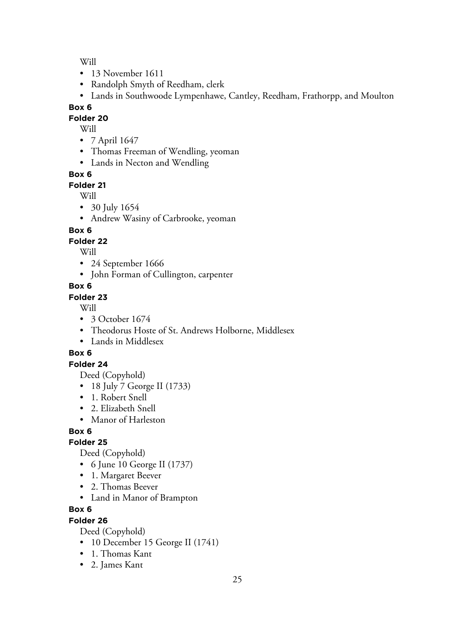Will

- 13 November 1611
- Randolph Smyth of Reedham, clerk
- Lands in Southwoode Lympenhawe, Cantley, Reedham, Frathorpp, and Moulton

#### **Box 6**

**Folder 20**

- Will
- 7 April 1647
- Thomas Freeman of Wendling, yeoman
- Lands in Necton and Wendling

#### **Box 6**

#### **Folder 21**

Will

- 30 July 1654
- Andrew Wasiny of Carbrooke, yeoman

#### **Box 6**

#### **Folder 22**

Will

- 24 September 1666
- John Forman of Cullington, carpenter

#### **Box 6**

#### **Folder 23**

Will

- 3 October 1674
- Theodorus Hoste of St. Andrews Holborne, Middlesex
- Lands in Middlesex

## **Box 6**

#### **Folder 24**

Deed (Copyhold)

- 18 July 7 George II (1733)
- 1. Robert Snell
- 2. Elizabeth Snell
- Manor of Harleston

# **Box 6**

## **Folder 25**

Deed (Copyhold)

- 6 June 10 George II (1737)
- 1. Margaret Beever
- 2. Thomas Beever
- Land in Manor of Brampton

#### **Box 6**

## **Folder 26**

Deed (Copyhold)

- 10 December 15 George II (1741)
- 1. Thomas Kant
- 2. James Kant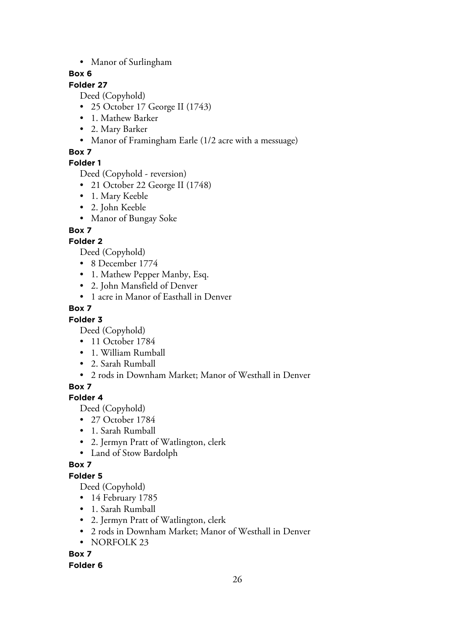• Manor of Surlingham

# **Box 6**

# **Folder 27**

Deed (Copyhold)

- 25 October 17 George II (1743)
- 1. Mathew Barker
- 2. Mary Barker
- Manor of Framingham Earle (1/2 acre with a messuage)

# **Box 7**

# **Folder 1**

Deed (Copyhold - reversion)

- 21 October 22 George II (1748)
- 1. Mary Keeble
- 2. John Keeble
- Manor of Bungay Soke

# **Box 7**

# **Folder 2**

Deed (Copyhold)

- 8 December 1774
- 1. Mathew Pepper Manby, Esq.
- 2. John Mansfield of Denver
- 1 acre in Manor of Easthall in Denver

# **Box 7**

# **Folder 3**

Deed (Copyhold)

- 11 October 1784
- 1. William Rumball
- 2. Sarah Rumball
- 2 rods in Downham Market; Manor of Westhall in Denver

# **Box 7**

# **Folder 4**

Deed (Copyhold)

- 27 October 1784
- 1. Sarah Rumball
- 2. Jermyn Pratt of Watlington, clerk
- Land of Stow Bardolph

## **Box 7**

## **Folder 5**

Deed (Copyhold)

- 14 February 1785
- 1. Sarah Rumball
- 2. Jermyn Pratt of Watlington, clerk
- 2 rods in Downham Market; Manor of Westhall in Denver
- NORFOLK 23

## **Box 7**

## **Folder 6**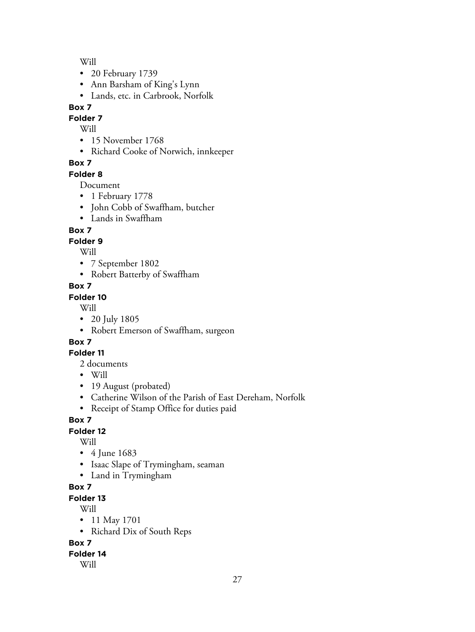Will

- 20 February 1739
- Ann Barsham of King's Lynn
- Lands, etc. in Carbrook, Norfolk

# **Box 7**

**Folder 7**

Will

- 15 November 1768
- Richard Cooke of Norwich, innkeeper

# **Box 7**

## **Folder 8**

Document

- 1 February 1778
- John Cobb of Swaffham, butcher
- Lands in Swaffham

# **Box 7**

# **Folder 9**

Will

- 7 September 1802
- Robert Batterby of Swaffham

# **Box 7**

# **Folder 10**

Will

- 20 July 1805
- Robert Emerson of Swaffham, surgeon

# **Box 7**

# **Folder 11**

- 2 documents
- Will
- 19 August (probated)
- Catherine Wilson of the Parish of East Dereham, Norfolk
- Receipt of Stamp Office for duties paid

# **Box 7**

**Folder 12**

Will

- 4 June 1683
- Isaac Slape of Trymingham, seaman
- Land in Trymingham

# **Box 7**

**Folder 13**

Will

- 11 May 1701
- Richard Dix of South Reps

**Box 7**

## **Folder 14**

Will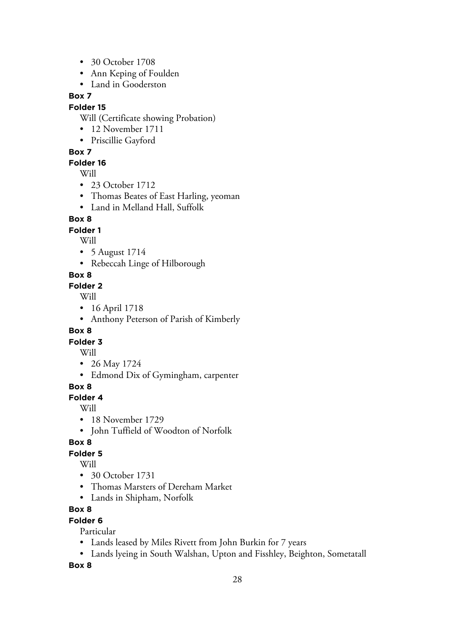- 30 October 1708
- Ann Keping of Foulden
- Land in Gooderston

#### **Folder 15**

Will (Certificate showing Probation)

- 12 November 1711
- Priscillie Gayford

#### **Box 7**

#### **Folder 16**

Will

- 23 October 1712
- Thomas Beates of East Harling, yeoman
- Land in Melland Hall, Suffolk

## **Box 8**

## **Folder 1**

Will

- 5 August 1714
- Rebeccah Linge of Hilborough

# **Box 8**

#### **Folder 2**

Will

- 16 April 1718
- Anthony Peterson of Parish of Kimberly

## **Box 8**

**Folder 3**

#### Will

- 26 May 1724
- Edmond Dix of Gymingham, carpenter

## **Box 8**

**Folder 4**

Will

- 18 November 1729
- John Tuffield of Woodton of Norfolk

## **Box 8**

## **Folder 5**

Will

- 30 October 1731
- Thomas Marsters of Dereham Market
- Lands in Shipham, Norfolk

## **Box 8**

## **Folder 6**

Particular

- Lands leased by Miles Rivett from John Burkin for 7 years
- Lands lyeing in South Walshan, Upton and Fisshley, Beighton, Sometatall

**Box 8**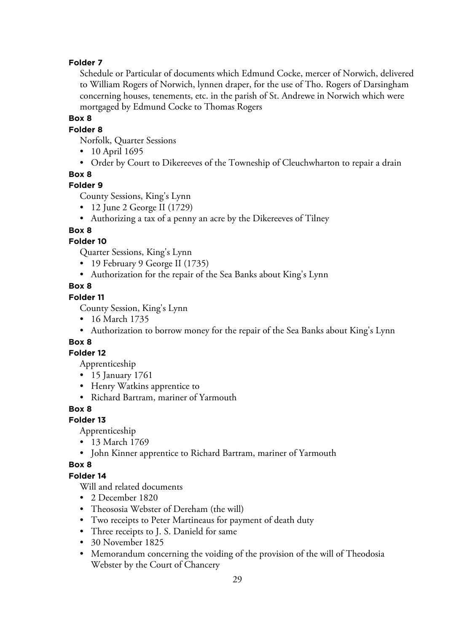#### **Folder 7**

Schedule or Particular of documents which Edmund Cocke, mercer of Norwich, delivered to William Rogers of Norwich, lynnen draper, for the use of Tho. Rogers of Darsingham concerning houses, tenements, etc. in the parish of St. Andrewe in Norwich which were mortgaged by Edmund Cocke to Thomas Rogers

#### **Box 8**

#### **Folder 8**

Norfolk, Quarter Sessions

- 10 April 1695
- Order by Court to Dikereeves of the Towneship of Cleuchwharton to repair a drain

#### **Box 8**

#### **Folder 9**

County Sessions, King's Lynn

- 12 June 2 George II (1729)
- Authorizing a tax of a penny an acre by the Dikereeves of Tilney

#### **Box 8**

#### **Folder 10**

Quarter Sessions, King's Lynn

- 19 February 9 George II (1735)
- Authorization for the repair of the Sea Banks about King's Lynn

#### **Box 8**

#### **Folder 11**

County Session, King's Lynn

- 16 March 1735
- Authorization to borrow money for the repair of the Sea Banks about King's Lynn

#### **Box 8**

#### **Folder 12**

Apprenticeship

- 15 January 1761
- Henry Watkins apprentice to
- Richard Bartram, mariner of Yarmouth

#### **Box 8**

## **Folder 13**

Apprenticeship

- 13 March 1769
- John Kinner apprentice to Richard Bartram, mariner of Yarmouth

#### **Box 8**

#### **Folder 14**

Will and related documents

- 2 December 1820
- Theososia Webster of Dereham (the will)
- Two receipts to Peter Martineaus for payment of death duty
- Three receipts to J. S. Danield for same
- 30 November 1825
- Memorandum concerning the voiding of the provision of the will of Theodosia Webster by the Court of Chancery